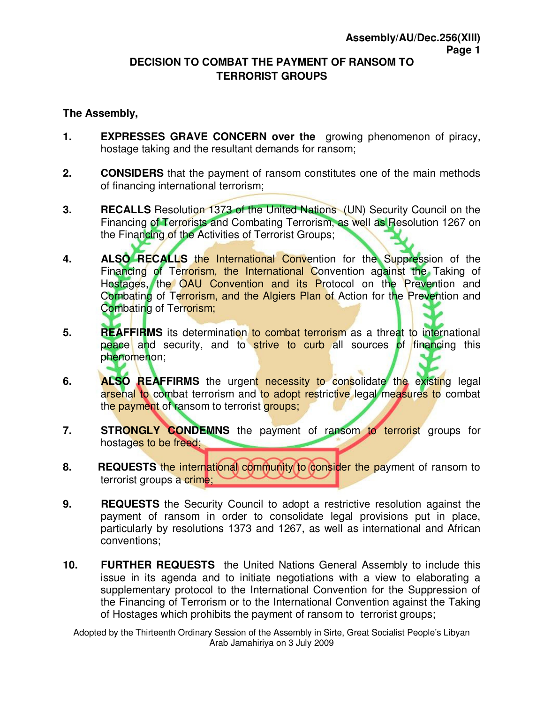## **DECISION TO COMBAT THE PAYMENT OF RANSOM TO TERRORIST GROUPS**

## **The Assembly,**

- **1. EXPRESSES GRAVE CONCERN over the** growing phenomenon of piracy, hostage taking and the resultant demands for ransom;
- **2. CONSIDERS** that the payment of ransom constitutes one of the main methods of financing international terrorism;
- **3.** RECALLS Resolution 1373 of the United Nations (UN) Security Council on the Financing of Terrorists and Combating Terrorism, as well as Resolution 1267 on the Financing of the Activities of Terrorist Groups;
- **4. ALSO RECALLS** the International Convention for the Suppression of the Financing of Terrorism, the International Convention against the Taking of Hostages, the OAU Convention and its Protocol on the Prevention and Combating of Terrorism, and the Algiers Plan of Action for the Prevention and Combating of Terrorism;
- **5.** REAFFIRMS its determination to combat terrorism as a threat to international peace and security, and to strive to curb all sources of financing this phenomenon;
- **6.** ALSO REAFFIRMS the urgent necessity to consolidate the existing legal arsenal to combat terrorism and to adopt restrictive legal measures to combat the payment of ransom to terrorist groups;
- **7.** STRONGLY CONDEMNS the payment of ransom to terrorist groups for hostages to be freed;
- **8.** REQUESTS the international community to consider the payment of ransom to terrorist groups a crime;
- **9.** REQUESTS the Security Council to adopt a restrictive resolution against the payment of ransom in order to consolidate legal provisions put in place, particularly by resolutions 1373 and 1267, as well as international and African conventions;
- **10. FURTHER REQUESTS** the United Nations General Assembly to include this issue in its agenda and to initiate negotiations with a view to elaborating a supplementary protocol to the International Convention for the Suppression of the Financing of Terrorism or to the International Convention against the Taking of Hostages which prohibits the payment of ransom to terrorist groups;

Adopted by the Thirteenth Ordinary Session of the Assembly in Sirte, Great Socialist People's Libyan Arab Jamahiriya on 3 July 2009